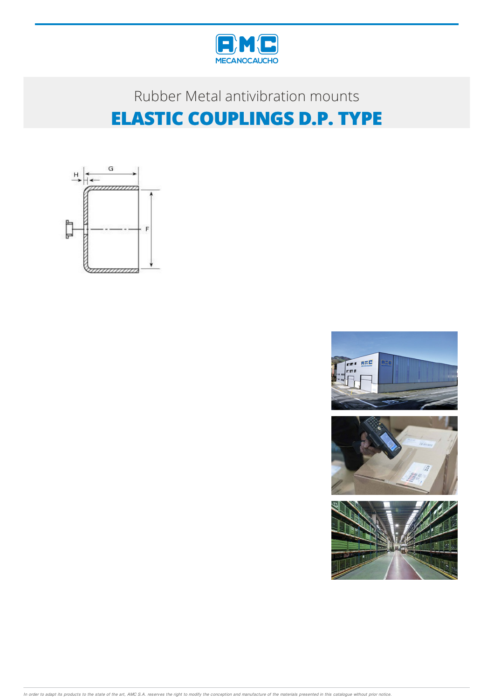

## Rubber Metal antivibration mounts **ELASTIC COUPLINGS D.P. TYPE**





In order to adapt its products to the state of the art, AMC S.A. reserves the right to modify the conception and manufacture of the materials presented in this catalogue without prior notice.